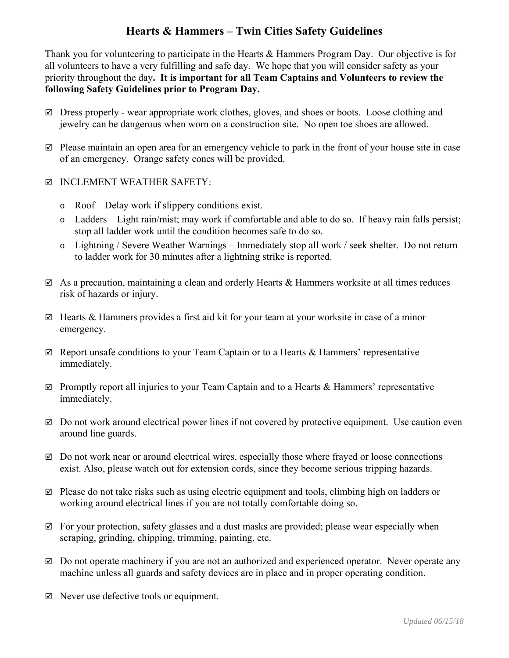## **Hearts & Hammers – Twin Cities Safety Guidelines**

Thank you for volunteering to participate in the Hearts & Hammers Program Day. Our objective is for all volunteers to have a very fulfilling and safe day. We hope that you will consider safety as your priority throughout the day**. It is important for all Team Captains and Volunteers to review the following Safety Guidelines prior to Program Day.** 

- $\boxtimes$  Dress properly wear appropriate work clothes, gloves, and shoes or boots. Loose clothing and jewelry can be dangerous when worn on a construction site. No open toe shoes are allowed.
- $\boxtimes$  Please maintain an open area for an emergency vehicle to park in the front of your house site in case of an emergency. Orange safety cones will be provided.
- $\boxtimes$  INCLEMENT WEATHER SAFETY:
	- o Roof Delay work if slippery conditions exist.
	- o Ladders Light rain/mist; may work if comfortable and able to do so. If heavy rain falls persist; stop all ladder work until the condition becomes safe to do so.
	- o Lightning / Severe Weather Warnings Immediately stop all work / seek shelter. Do not return to ladder work for 30 minutes after a lightning strike is reported.
- $\boxtimes$  As a precaution, maintaining a clean and orderly Hearts & Hammers worksite at all times reduces risk of hazards or injury.
- $\boxtimes$  Hearts & Hammers provides a first aid kit for your team at your worksite in case of a minor emergency.
- $\boxtimes$  Report unsafe conditions to your Team Captain or to a Hearts & Hammers' representative immediately.
- $\boxtimes$  Promptly report all injuries to your Team Captain and to a Hearts & Hammers' representative immediately.
- $\boxtimes$  Do not work around electrical power lines if not covered by protective equipment. Use caution even around line guards.
- $\boxtimes$  Do not work near or around electrical wires, especially those where frayed or loose connections exist. Also, please watch out for extension cords, since they become serious tripping hazards.
- $\boxtimes$  Please do not take risks such as using electric equipment and tools, climbing high on ladders or working around electrical lines if you are not totally comfortable doing so.
- $\boxtimes$  For your protection, safety glasses and a dust masks are provided; please wear especially when scraping, grinding, chipping, trimming, painting, etc.
- $\boxtimes$  Do not operate machinery if you are not an authorized and experienced operator. Never operate any machine unless all guards and safety devices are in place and in proper operating condition.
- $\boxtimes$  Never use defective tools or equipment.